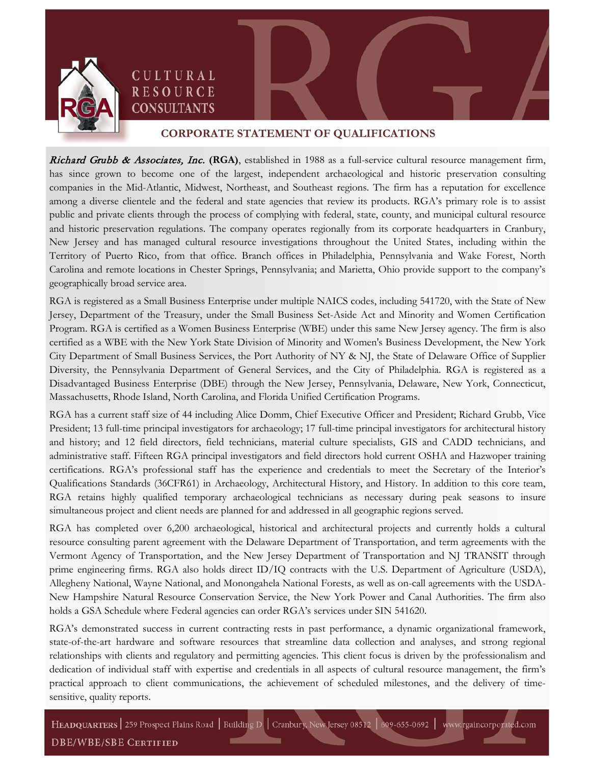

CULTURAL **RESOURCE CONSULTANTS** 



## **CORPORATE STATEMENT OF QUALIFICATIONS**

Richard Grubb & Associates, Inc. **(RGA)**, established in 1988 as a full-service cultural resource management firm, has since grown to become one of the largest, independent archaeological and historic preservation consulting companies in the Mid-Atlantic, Midwest, Northeast, and Southeast regions. The firm has a reputation for excellence among a diverse clientele and the federal and state agencies that review its products. RGA's primary role is to assist public and private clients through the process of complying with federal, state, county, and municipal cultural resource and historic preservation regulations. The company operates regionally from its corporate headquarters in Cranbury, New Jersey and has managed cultural resource investigations throughout the United States, including within the Territory of Puerto Rico, from that office. Branch offices in Philadelphia, Pennsylvania and Wake Forest, North Carolina and remote locations in Chester Springs, Pennsylvania; and Marietta, Ohio provide support to the company's geographically broad service area.

RGA is registered as a Small Business Enterprise under multiple NAICS codes, including 541720, with the State of New Jersey, Department of the Treasury, under the Small Business Set-Aside Act and Minority and Women Certification Program. RGA is certified as a Women Business Enterprise (WBE) under this same New Jersey agency. The firm is also certified as a WBE with the New York State Division of Minority and Women's Business Development, the New York City Department of Small Business Services, the Port Authority of NY & NJ, the State of Delaware Office of Supplier Diversity, the Pennsylvania Department of General Services, and the City of Philadelphia. RGA is registered as a Disadvantaged Business Enterprise (DBE) through the New Jersey, Pennsylvania, Delaware, New York, Connecticut, Massachusetts, Rhode Island, North Carolina, and Florida Unified Certification Programs.

RGA has a current staff size of 44 including Alice Domm, Chief Executive Officer and President; Richard Grubb, Vice President; 13 full-time principal investigators for archaeology; 17 full-time principal investigators for architectural history and history; and 12 field directors, field technicians, material culture specialists, GIS and CADD technicians, and administrative staff. Fifteen RGA principal investigators and field directors hold current OSHA and Hazwoper training certifications. RGA's professional staff has the experience and credentials to meet the Secretary of the Interior's Qualifications Standards (36CFR61) in Archaeology, Architectural History, and History. In addition to this core team, RGA retains highly qualified temporary archaeological technicians as necessary during peak seasons to insure simultaneous project and client needs are planned for and addressed in all geographic regions served.

RGA has completed over 6,200 archaeological, historical and architectural projects and currently holds a cultural resource consulting parent agreement with the Delaware Department of Transportation, and term agreements with the Vermont Agency of Transportation, and the New Jersey Department of Transportation and NJ TRANSIT through prime engineering firms. RGA also holds direct ID/IQ contracts with the U.S. Department of Agriculture (USDA), Allegheny National, Wayne National, and Monongahela National Forests, as well as on-call agreements with the USDA-New Hampshire Natural Resource Conservation Service, the New York Power and Canal Authorities. The firm also holds a GSA Schedule where Federal agencies can order RGA's services under SIN 541620.

RGA's demonstrated success in current contracting rests in past performance, a dynamic organizational framework, state-of-the-art hardware and software resources that streamline data collection and analyses, and strong regional relationships with clients and regulatory and permitting agencies. This client focus is driven by the professionalism and dedication of individual staff with expertise and credentials in all aspects of cultural resource management, the firm's practical approach to client communications, the achievement of scheduled milestones, and the delivery of timesensitive, quality reports.

HEADQUARTERS 259 Prospect Plains Road | Building D | Cranbury, New Jersey 08512 | 609-655-0692 | www.rgaincorporated.com **DBE/WBE/SBE CERTIFIED**